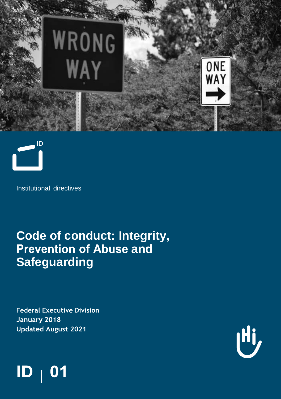



Institutional directives

# **Code of conduct: Integrity, Prevention of Abuse and Safeguarding**

**Federal Executive Division**January 2018 **Updated August 2021** 



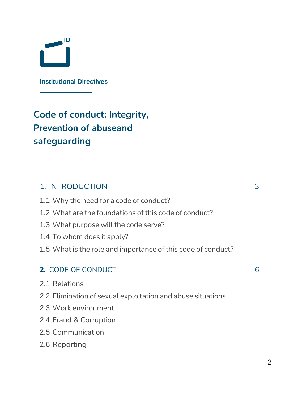

**Institutional Directives**

## **Code of conduct: Integrity, Prevention of abuseand safeguarding**

### 1. INTRODUCTION 3

- 1.1 Why the need for a code of conduct?
- 1.2 What are the foundations of this code of conduct?
- 1.3 What purpose will the code serve?
- 1.4 To whom does it apply?
- 1.5 What is the role and importance of this code of conduct?

### **2.** CODE OF CONDUCT 6

- 2.1 Relations
- 2.2 Elimination of sexual exploitation and abuse situations
- 2.3 Work environment
- 2.4 Fraud & Corruption
- 2.5 Communication
- 2.6 Reporting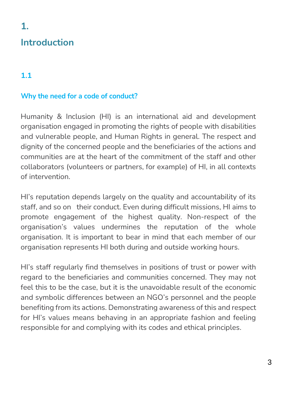# **Introduction**

### **1.1**

**1.**

### **Why the need for a code of conduct?**

Humanity & Inclusion (HI) is an international aid and development organisation engaged in promoting the rights of people with disabilities and vulnerable people, and Human Rights in general. The respect and dignity of the concerned people and the beneficiaries of the actions and communities are at the heart of the commitment of the staff and other collaborators (volunteers or partners, for example) of HI, in all contexts of intervention.

HI's reputation depends largely on the quality and accountability of its staff, and so on their conduct. Even during difficult missions, HI aims to promote engagement of the highest quality. Non-respect of the organisation's values undermines the reputation of the whole organisation. It is important to bear in mind that each member of our organisation represents HI both during and outside working hours.

HI's staff regularly find themselves in positions of trust or power with regard to the beneficiaries and communities concerned. They may not feel this to be the case, but it is the unavoidable result of the economic and symbolic differences between an NGO's personnel and the people benefiting from its actions. Demonstrating awareness of this and respect for HI's values means behaving in an appropriate fashion and feeling responsible for and complying with its codes and ethical principles.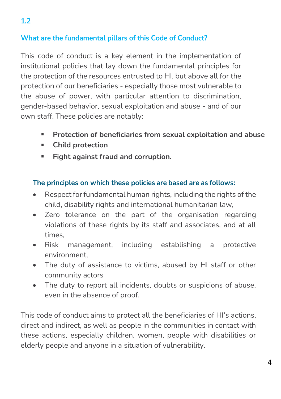### **What are the fundamental pillars of this Code of Conduct?**

This code of conduct is a key element in the implementation of institutional policies that lay down the fundamental principles for the protection of the resources entrusted to HI, but above all for the protection of our beneficiaries - especially those most vulnerable to the abuse of power, with particular attention to discrimination, gender-based behavior, sexual exploitation and abuse - and of our own staff. These policies are notably:

- **Protection of beneficiaries from sexual exploitation and abuse**
- **Child protection**
- **Fight against fraud and corruption.**

#### **The principles on which these policies are based are as follows:**

- Respect for fundamental human rights, including the rights of the child, disability rights and international humanitarian law,
- Zero tolerance on the part of the organisation regarding violations of these rights by its staff and associates, and at all times,
- Risk management, including establishing a protective environment,
- The duty of assistance to victims, abused by HI staff or other community actors
- The duty to report all incidents, doubts or suspicions of abuse, even in the absence of proof.

This code of conduct aims to protect all the beneficiaries of HI's actions, direct and indirect, as well as people in the communities in contact with these actions, especially children, women, people with disabilities or elderly people and anyone in a situation of vulnerability.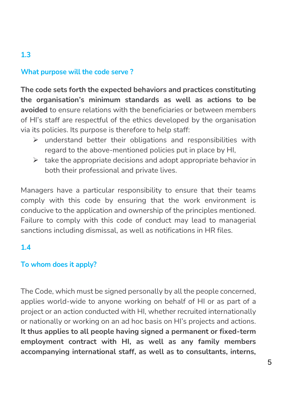### **What purpose will the code serve ?**

**The code sets forth the expected behaviors and practices constituting the organisation's minimum standards as well as actions to be avoided** to ensure relations with the beneficiaries or between members of HI's staff are respectful of the ethics developed by the organisation via its policies. Its purpose is therefore to help staff:

- $\triangleright$  understand better their obligations and responsibilities with regard to the above-mentioned policies put in place by HI,
- $\triangleright$  take the appropriate decisions and adopt appropriate behavior in both their professional and private lives.

Managers have a particular responsibility to ensure that their teams comply with this code by ensuring that the work environment is conducive to the application and ownership of the principles mentioned. Failure to comply with this code of conduct may lead to managerial sanctions including dismissal, as well as notifications in HR files.

### **1.4**

**1.3**

### **To whom does it apply?**

The Code, which must be signed personally by all the people concerned, applies world-wide to anyone working on behalf of HI or as part of a project or an action conducted with HI, whether recruited internationally or nationally or working on an ad hoc basis on HI's projects and actions. **It thus applies to all people having signed a permanent or fixed-term employment contract with HI, as well as any family members accompanying international staff, as well as to consultants, interns,**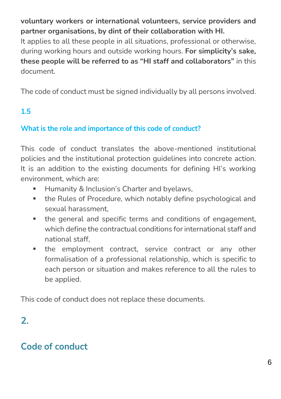**voluntary workers or international volunteers, service providers and partner organisations, by dint of their collaboration with HI.**

It applies to all these people in all situations, professional or otherwise, during working hours and outside working hours. **For simplicity's sake, these people will be referred to as "HI staff and collaborators"** in this document.

The code of conduct must be signed individually by all persons involved.

### **1.5**

### **What is the role and importance of this code of conduct?**

This code of conduct translates the above-mentioned institutional policies and the institutional protection guidelines into concrete action. It is an addition to the existing documents for defining HI's working environment, which are:

- Humanity & Inclusion's Charter and byelaws,
- the Rules of Procedure, which notably define psychological and sexual harassment,
- the general and specific terms and conditions of engagement, which define the contractual conditions for international staff and national staff,
- the employment contract, service contract or any other formalisation of a professional relationship, which is specific to each person or situation and makes reference to all the rules to be applied.

This code of conduct does not replace these documents.

### **2.**

### **Code of conduct**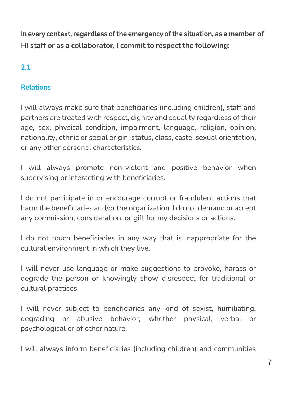**In every context,regardless ofthe emergency ofthe situation, as a member of HI staff or as a collaborator, I commit to respect the following:**

### **2.1**

### **Relations**

I will always make sure that beneficiaries (including children), staff and partners are treated with respect, dignity and equality regardless of their age, sex, physical condition, impairment, language, religion, opinion, nationality, ethnic or social origin, status, class, caste, sexual orientation, or any other personal characteristics.

I will always promote non-violent and positive behavior when supervising or interacting with beneficiaries.

I do not participate in or encourage corrupt or fraudulent actions that harm the beneficiaries and/or the organization. I do not demand or accept any commission, consideration, or gift for my decisions or actions.

I do not touch beneficiaries in any way that is inappropriate for the cultural environment in which they live.

I will never use language or make suggestions to provoke, harass or degrade the person or knowingly show disrespect for traditional or cultural practices.

I will never subject to beneficiaries any kind of sexist, humiliating, degrading or abusive behavior, whether physical, verbal or psychological or of other nature.

I will always inform beneficiaries (including children) and communities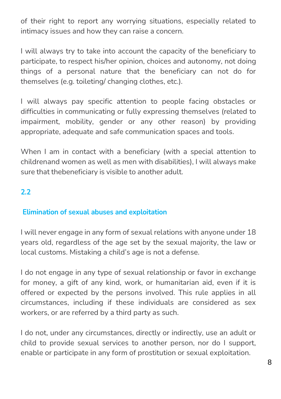of their right to report any worrying situations, especially related to intimacy issues and how they can raise a concern.

I will always try to take into account the capacity of the beneficiary to participate, to respect his/her opinion, choices and autonomy, not doing things of a personal nature that the beneficiary can not do for themselves (e.g. toileting/ changing clothes, etc.).

I will always pay specific attention to people facing obstacles or difficulties in communicating or fully expressing themselves (related to impairment, mobility, gender or any other reason) by providing appropriate, adequate and safe communication spaces and tools.

When I am in contact with a beneficiary (with a special attention to childrenand women as well as men with disabilities), I will always make sure that thebeneficiary is visible to another adult.

### **2.2**

### **Elimination of sexual abuses and exploitation**

I will never engage in any form of sexual relations with anyone under 18 years old, regardless of the age set by the sexual majority, the law or local customs. Mistaking a child's age is not a defense.

I do not engage in any type of sexual relationship or favor in exchange for money, a gift of any kind, work, or humanitarian aid, even if it is offered or expected by the persons involved. This rule applies in all circumstances, including if these individuals are considered as sex workers, or are referred by a third party as such.

I do not, under any circumstances, directly or indirectly, use an adult or child to provide sexual services to another person, nor do I support, enable or participate in any form of prostitution or sexual exploitation.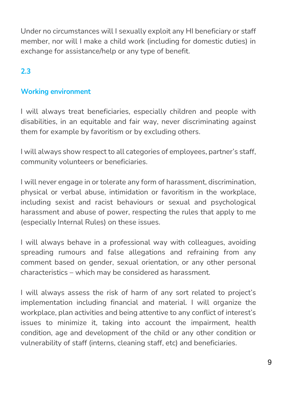Under no circumstances will I sexually exploit any HI beneficiary or staff member, nor will I make a child work (including for domestic duties) in exchange for assistance/help or any type of benefit.

### **2.3**

### **Working environment**

I will always treat beneficiaries, especially children and people with disabilities, in an equitable and fair way, never discriminating against them for example by favoritism or by excluding others.

I will always show respect to all categories of employees, partner's staff, community volunteers or beneficiaries.

I will never engage in or tolerate any form of harassment, discrimination, physical or verbal abuse, intimidation or favoritism in the workplace, including sexist and racist behaviours or sexual and psychological harassment and abuse of power, respecting the rules that apply to me (especially Internal Rules) on these issues.

I will always behave in a professional way with colleagues, avoiding spreading rumours and false allegations and refraining from any comment based on gender, sexual orientation, or any other personal characteristics – which may be considered as harassment.

I will always assess the risk of harm of any sort related to project's implementation including financial and material. I will organize the workplace, plan activities and being attentive to any conflict of interest's issues to minimize it, taking into account the impairment, health condition, age and development of the child or any other condition or vulnerability of staff (interns, cleaning staff, etc) and beneficiaries.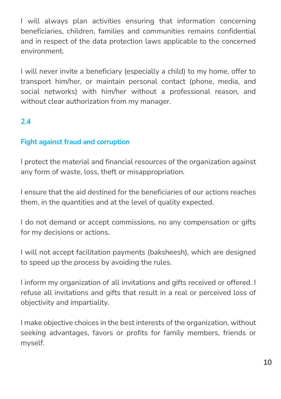I will always plan activities ensuring that information concerning beneficiaries, children, families and communities remains confidential and in respect of the data protection laws applicable to the concerned environment.

I will never invite a beneficiary (especially a child) to my home, offer to transport him/her, or maintain personal contact (phone, media, and social networks) with him/her without a professional reason, and without clear authorization from my manager.

### **2.4**

### **Fight against fraud and corruption**

I protect the material and financial resources of the organization against any form of waste, loss, theft or misappropriation.

I ensure that the aid destined for the beneficiaries of our actions reaches them, in the quantities and at the level of quality expected.

I do not demand or accept commissions, no any compensation or gifts for my decisions or actions.

I will not accept facilitation payments (baksheesh), which are designed to speed up the process by avoiding the rules.

I inform my organization of all invitations and gifts received or offered. I refuse all invitations and gifts that result in a real or perceived loss of objectivity and impartiality.

I make objective choices in the best interests of the organization, without seeking advantages, favors or profits for family members, friends or myself.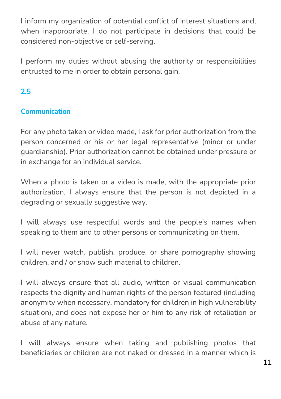I inform my organization of potential conflict of interest situations and, when inappropriate, I do not participate in decisions that could be considered non-objective or self-serving.

I perform my duties without abusing the authority or responsibilities entrusted to me in order to obtain personal gain.

### **2.5**

### **Communication**

For any photo taken or video made, I ask for prior authorization from the person concerned or his or her legal representative (minor or under guardianship). Prior authorization cannot be obtained under pressure or in exchange for an individual service.

When a photo is taken or a video is made, with the appropriate prior authorization, I always ensure that the person is not depicted in a degrading or sexually suggestive way.

I will always use respectful words and the people's names when speaking to them and to other persons or communicating on them.

I will never watch, publish, produce, or share pornography showing children, and / or show such material to children.

I will always ensure that all audio, written or visual communication respects the dignity and human rights of the person featured (including anonymity when necessary, mandatory for children in high vulnerability situation), and does not expose her or him to any risk of retaliation or abuse of any nature.

I will always ensure when taking and publishing photos that beneficiaries or children are not naked or dressed in a manner which is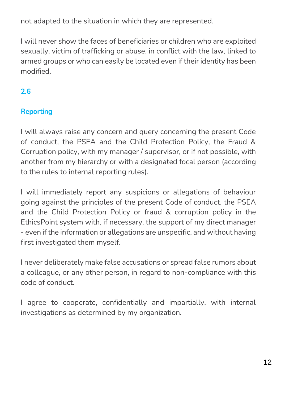not adapted to the situation in which they are represented.

I will never show the faces of beneficiaries or children who are exploited sexually, victim of trafficking or abuse, in conflict with the law, linked to armed groups or who can easily be located even if their identity has been modified.

### **2.6**

### **Reporting**

I will always raise any concern and query concerning the present Code of conduct, the PSEA and the Child Protection Policy, the Fraud & Corruption policy, with my manager / supervisor, or if not possible, with another from my hierarchy or with a designated focal person (according to the rules to internal reporting rules).

I will immediately report any suspicions or allegations of behaviour going against the principles of the present Code of conduct, the PSEA and the Child Protection Policy or fraud & corruption policy in the EthicsPoint system with, if necessary, the support of my direct manager - even if the information or allegations are unspecific, and without having first investigated them myself.

I never deliberately make false accusations or spread false rumors about a colleague, or any other person, in regard to non-compliance with this code of conduct.

I agree to cooperate, confidentially and impartially, with internal investigations as determined by my organization.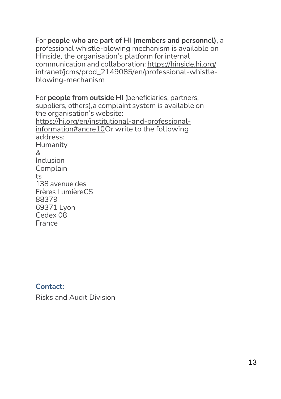For **people who are part of HI (members and personnel)**, a professional whistle-blowing mechanism is available on Hinside, the organisation's platform for internal communication and collaboration: [https://hinside.hi.org/](https://hinside.hi.org/intranet/jcms/prod_2149085/en/professional-whistle-blowing-mechanism) intranet/jcms/prod\_2149085/en/professional-whistleblowing-mechanism

For **people from outside HI** (beneficiaries, partners, suppliers, others),a complaint system is available on the organisation's website: https://hi.org/en/institutional-and-professionalinformation#ancre10Or write to the following address: Humanity & Inclusion Complain  $t<sub>s</sub>$ 138 avenue des Frères LumièreCS 88379 69371 Lyon Cedex 08 France

#### **Contact:**

Risks and Audit Division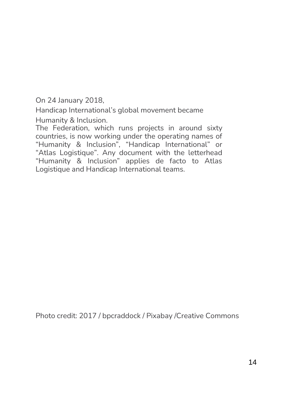On 24 January 2018,

Handicap International's global movement became Humanity & Inclusion.

The Federation, which runs projects in around sixty countries, is now working under the operating names of "Humanity & Inclusion", "Handicap International" or "Atlas Logistique". Any document with the letterhead "Humanity & Inclusion" applies de facto to Atlas Logistique and Handicap International teams.

Photo credit: 2017 / bpcraddock / Pixabay /Creative Commons